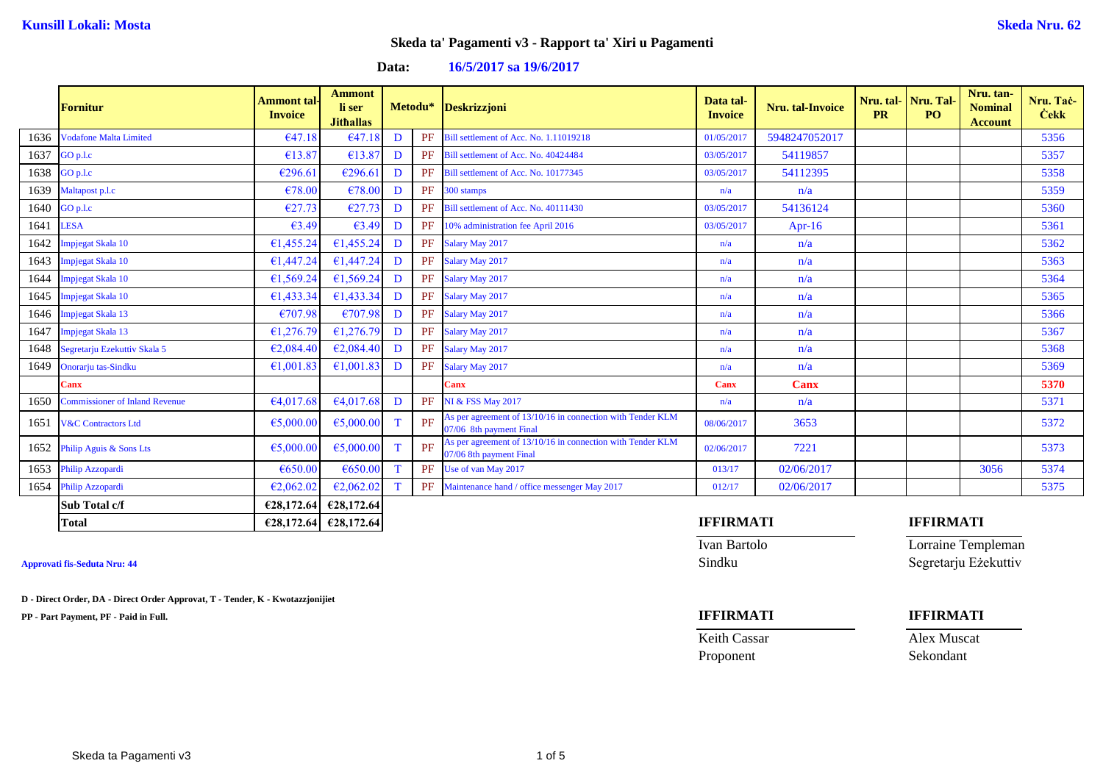**Data: 16/5/2017 sa 19/6/2017**

|      | <b>Fornitur</b>                       | <b>Ammont</b> tal-<br><b>Invoice</b> | <b>Ammont</b><br>li ser<br><b>Jithallas</b> |   |    | Metodu* Deskrizzjoni                                                                  | Data tal-<br><b>Invoice</b> | <b>Nru.</b> tal-Invoice | <b>PR</b> | Nru. tal-Nru. Tal-<br>PO <sub>1</sub> | Nru. tan-<br><b>Nominal</b><br><b>Account</b> | Nru. Tac-<br><b>Cekk</b> |
|------|---------------------------------------|--------------------------------------|---------------------------------------------|---|----|---------------------------------------------------------------------------------------|-----------------------------|-------------------------|-----------|---------------------------------------|-----------------------------------------------|--------------------------|
| 1636 | <b>Vodafone Malta Limited</b>         | €47.18                               | €47.1                                       | D | PF | Bill settlement of Acc. No. 1.11019218                                                | 01/05/2017                  | 5948247052017           |           |                                       |                                               | 5356                     |
| 1637 | GO p.l.c                              | €13.87                               | €13.87                                      | D | PF | Bill settlement of Acc. No. 40424484                                                  | 03/05/2017                  | 54119857                |           |                                       |                                               | 5357                     |
| 1638 | GO p.l.c                              | €296.61                              | €296.61                                     | D | PF | Bill settlement of Acc. No. 10177345                                                  | 03/05/2017                  | 54112395                |           |                                       |                                               | 5358                     |
| 1639 | Maltapost p.l.c                       | €78.00                               | €78.00                                      | D | PF | 300 stamps                                                                            | n/a                         | n/a                     |           |                                       |                                               | 5359                     |
| 1640 | GO p.l.c                              | €27.73                               | €27.73                                      | D | PF | Bill settlement of Acc. No. 40111430                                                  | 03/05/2017                  | 54136124                |           |                                       |                                               | 5360                     |
| 1641 | <b>LESA</b>                           | €3.49                                | €3.49                                       | D | PF | 10% administration fee April 2016                                                     | 03/05/2017                  | Apr-16                  |           |                                       |                                               | 5361                     |
| 1642 | Impjegat Skala 10                     | €1,455.24                            | €1,455.24                                   | D | PF | Salary May 2017                                                                       | n/a                         | n/a                     |           |                                       |                                               | 5362                     |
| 1643 | Impjegat Skala 10                     | €1,447.24                            | €1,447.24                                   | D | PF | Salary May 2017                                                                       | n/a                         | n/a                     |           |                                       |                                               | 5363                     |
| 1644 | Impjegat Skala 10                     | €1,569.24                            | £1,569.24                                   | D | PF | Salary May 2017                                                                       | n/a                         | n/a                     |           |                                       |                                               | 5364                     |
| 1645 | Impjegat Skala 10                     | €1,433.34                            | €1,433.34                                   | D | PF | Salary May 2017                                                                       | n/a                         | n/a                     |           |                                       |                                               | 5365                     |
| 1646 | Impjegat Skala 13                     | €707.98                              | €707.98                                     | D | PF | Salary May 2017                                                                       | n/a                         | n/a                     |           |                                       |                                               | 5366                     |
| 1647 | Impjegat Skala 13                     | €1,276.79                            | €1,276.79                                   | D | PF | Salary May 2017                                                                       | n/a                         | n/a                     |           |                                       |                                               | 5367                     |
| 1648 | Segretarju Ezekuttiv Skala 5          | €2,084.40                            | €2,084,40                                   | D | PF | Salary May 2017                                                                       | n/a                         | n/a                     |           |                                       |                                               | 5368                     |
| 1649 | Onorarju tas-Sindku                   | €1,001.83                            | €1,001.83                                   | D | PF | Salary May 2017                                                                       | n/a                         | n/a                     |           |                                       |                                               | 5369                     |
|      | Canx                                  |                                      |                                             |   |    | Canx                                                                                  | <b>Canx</b>                 | <b>Canx</b>             |           |                                       |                                               | 5370                     |
| 1650 | <b>Commissioner of Inland Revenue</b> | €4,017.68                            | E4,017.68                                   | D | PF | <b>NI &amp; FSS May 2017</b>                                                          | n/a                         | n/a                     |           |                                       |                                               | 5371                     |
| 1651 | <b>V&amp;C Contractors Ltd</b>        | €5,000.00                            | €5,000.00                                   | T | PF | As per agreement of 13/10/16 in connection with Tender KLM<br>07/06 8th payment Final | 08/06/2017                  | 3653                    |           |                                       |                                               | 5372                     |
| 1652 | Philip Aguis & Sons Lts               | €5,000.00                            | €5,000.00                                   | T | PF | As per agreement of 13/10/16 in connection with Tender KLM<br>07/06 8th payment Final | 02/06/2017                  | 7221                    |           |                                       |                                               | 5373                     |
| 1653 | Philip Azzopardi                      | €650.00                              | €650.00                                     | T | PF | Use of van May 2017                                                                   | 013/17                      | 02/06/2017              |           |                                       | 3056                                          | 5374                     |
| 1654 | Philip Azzopardi                      | €2,062.02                            | E2,062.02                                   | T | PF | Maintenance hand / office messenger May 2017                                          | 012/17                      | 02/06/2017              |           |                                       |                                               | 5375                     |
|      | Sub Total c/f                         | €28,172.64                           | €28,172.64                                  |   |    |                                                                                       |                             |                         |           |                                       |                                               |                          |
|      | <b>Total</b>                          |                                      | $\epsilon$ 28,172.64 $\epsilon$ 28,172.64   |   |    |                                                                                       | <b>IFFIRMATI</b>            |                         |           | <b>IFFIRMATI</b>                      |                                               |                          |

**D - Direct Order, DA - Direct Order Approvat, T - Tender, K - Kwotazzjonijiet**

**PP - Part Payment, PF - Paid in Full. IFFIRMATI IFFIRMATI**

Ivan Bartolo Lorraine Templeman **Approvati fis-Seduta Nru: 44** Sindku Segretarju Eżekuttiv

Keith Cassar Alex Muscat

Proponent Sekondant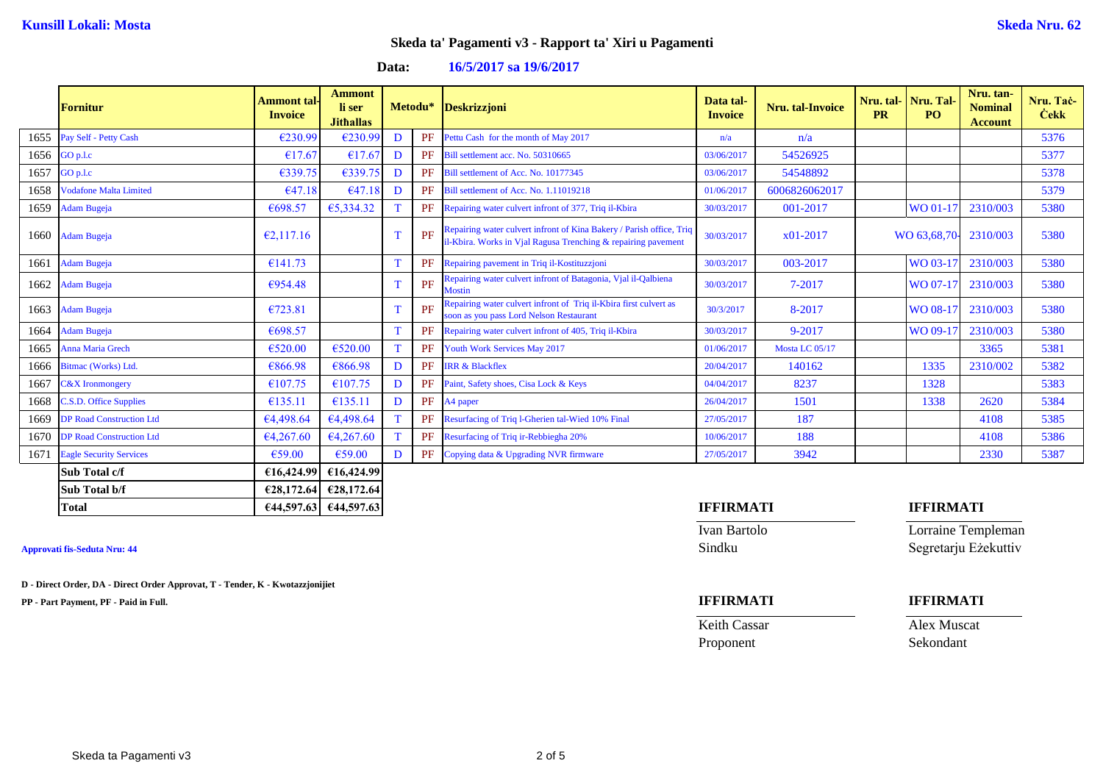**Data: 16/5/2017 sa 19/6/2017**

|      | <b>Fornitur</b>                 | <b>Ammont</b> tal-<br><b>Invoice</b> | <b>Ammont</b><br>li ser<br><b>Jithallas</b> |              |    | Metodu* Deskrizzjoni                                                                                                                  | Data tal-<br><b>Invoice</b> | Nru. tal-Invoice | <b>PR</b> | Nru. tal-Nru. Tal-<br>P <sub>O</sub> | Nru. tan-<br><b>Nominal</b><br><b>Account</b> | Nru. Tač-<br><b>Cekk</b> |
|------|---------------------------------|--------------------------------------|---------------------------------------------|--------------|----|---------------------------------------------------------------------------------------------------------------------------------------|-----------------------------|------------------|-----------|--------------------------------------|-----------------------------------------------|--------------------------|
| 1655 | Pay Self - Petty Cash           | €230.99                              | €230.99                                     | D            | PF | Pettu Cash for the month of May 2017                                                                                                  | n/a                         | n/a              |           |                                      |                                               | 5376                     |
| 1656 | GO p.l.c                        | €17.67                               | €17.67                                      | D            | PF | Bill settlement acc. No. 50310665                                                                                                     | 03/06/2017                  | 54526925         |           |                                      |                                               | 5377                     |
| 1657 | GO p.l.c                        | €339.75                              | €339.75                                     | D            | PF | Bill settlement of Acc. No. 10177345                                                                                                  | 03/06/2017                  | 54548892         |           |                                      |                                               | 5378                     |
| 1658 | <b>Vodafone Malta Limited</b>   | €47.18                               | €47.18                                      | D            | PF | Bill settlement of Acc. No. 1.11019218                                                                                                | 01/06/2017                  | 6006826062017    |           |                                      |                                               | 5379                     |
| 1659 | <b>Adam Bugeja</b>              | €698.57                              | €5,334.32                                   |              | PF | Repairing water culvert infront of 377, Triq il-Kbira                                                                                 | 30/03/2017                  | 001-2017         |           | WO 01-17                             | 2310/003                                      | 5380                     |
| 1660 | <b>Adam Bugeja</b>              | E2,117.16                            |                                             |              | PF | Repairing water culvert infront of Kina Bakery / Parish office, Triq<br>il-Kbira. Works in Vjal Ragusa Trenching & repairing pavement | 30/03/2017                  | $x01-2017$       |           | WO 63,68.70-                         | 2310/003                                      | 5380                     |
| 1661 | <b>Adam Bugeja</b>              | €141.73                              |                                             |              | PF | Repairing pavement in Triq il-Kostituzzjoni                                                                                           | 30/03/2017                  | 003-2017         |           | WO 03-17                             | 2310/003                                      | 5380                     |
| 1662 | <b>Adam Bugeja</b>              | €954.48                              |                                             | $\mathbf{T}$ | PF | Repairing water culvert infront of Batagonia, Vjal il-Qalbiena<br><b>Mostin</b>                                                       | 30/03/2017                  | 7-2017           |           | WO 07-17                             | 2310/003                                      | 5380                     |
| 1663 | <b>Adam Bugeja</b>              | €723.81                              |                                             |              | PF | Repairing water culvert infront of Triq il-Kbira first culvert as<br>soon as you pass Lord Nelson Restaurant                          | 30/3/2017                   | 8-2017           |           | WO 08-17                             | 2310/003                                      | 5380                     |
| 1664 | <b>Adam Bugeja</b>              | €698.57                              |                                             |              | PF | Repairing water culvert infront of 405, Triq il-Kbira                                                                                 | 30/03/2017                  | 9-2017           |           | <b>WO 09-1</b>                       | 2310/003                                      | 5380                     |
| 1665 | Anna Maria Grech                | €520.00                              | €520.00                                     | T            | PF | Youth Work Services May 2017                                                                                                          | 01/06/2017                  | Mosta LC 05/17   |           |                                      | 3365                                          | 5381                     |
| 1666 | Bitmac (Works) Ltd.             | €866.98                              | €866.98                                     | D            | PF | <b>IRR &amp; Blackflex</b>                                                                                                            | 20/04/2017                  | 140162           |           | 1335                                 | 2310/002                                      | 5382                     |
| 1667 | <b>C&amp;X</b> Ironmongery      | €107.75                              | €107.75                                     | D            | PF | Paint, Safety shoes, Cisa Lock & Keys                                                                                                 | 04/04/2017                  | 8237             |           | 1328                                 |                                               | 5383                     |
| 1668 | C.S.D. Office Supplies          | €135.11                              | €135.11                                     | D            | PF | A4 paper                                                                                                                              | 26/04/2017                  | 1501             |           | 1338                                 | 2620                                          | 5384                     |
| 1669 | <b>DP Road Construction Ltd</b> | €4,498.64                            | €4,498.64                                   |              | PF | Resurfacing of Triq l-Gherien tal-Wied 10% Final                                                                                      | 27/05/2017                  | 187              |           |                                      | 4108                                          | 5385                     |
| 1670 | <b>DP Road Construction Ltd</b> | €4,267.60                            | 64,267.60                                   |              | PF | Resurfacing of Triq ir-Rebbiegha 20%                                                                                                  | 10/06/2017                  | 188              |           |                                      | 4108                                          | 5386                     |
| 1671 | <b>Eagle Security Services</b>  | €59.00                               | €59.00                                      | D            | PF | Copying data & Upgrading NVR firmware                                                                                                 | 27/05/2017                  | 3942             |           |                                      | 2330                                          | 5387                     |
|      | Sub Total c/f                   | €16,424.99                           | €16,424.99                                  |              |    |                                                                                                                                       |                             |                  |           |                                      |                                               |                          |
|      | Sub Total b/f                   |                                      | $E28,172.64$ $E28,172.64$                   |              |    |                                                                                                                                       |                             |                  |           |                                      |                                               |                          |

### **Approvati fis-Seduta Nru: 44** Sindku Segretarju Eżekuttiv

**D - Direct Order, DA - Direct Order Approvat, T - Tender, K - Kwotazzjonijiet**

**PP - Part Payment, PF - Paid in Full. IFFIRMATI IFFIRMATI**

## **Total €44,597.63 €44,597.63 IFFIRMATI IFFIRMATI**

Ivan Bartolo Lorraine Templeman

Keith Cassar **Alex Muscat** Proponent Sekondant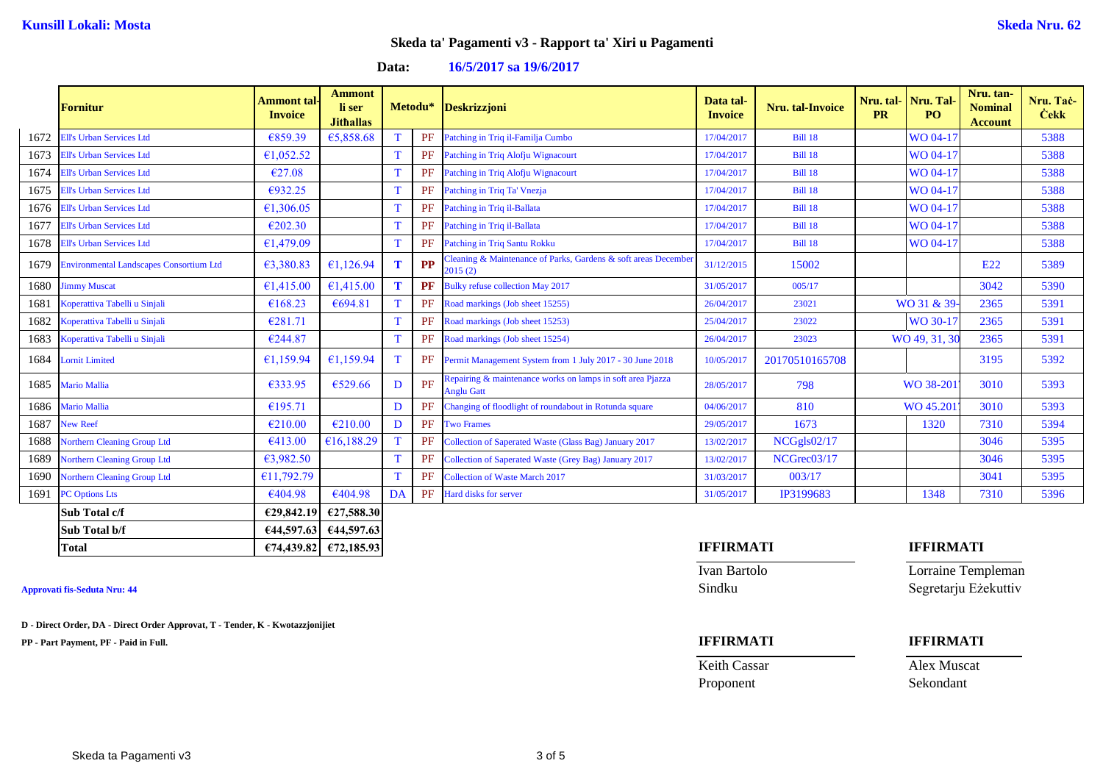**Data: 16/5/2017 sa 19/6/2017**

|      | <b>Fornitur</b>                              | <b>Ammont</b> tal-<br><b>Invoice</b> | <b>Ammont</b><br>li ser<br><b>Jithallas</b> | Metodu*     |           | <b>Deskrizzjoni</b>                                                             | Data tal-<br><b>Invoice</b> | <b>Nru.</b> tal-Invoice | <b>PR</b> | Nru. tal-Nru. Tal-<br>PO <sub>1</sub> | Nru. tan-<br><b>Nominal</b><br><b>Account</b> | Nru. Tač-<br><b>Cekk</b> |
|------|----------------------------------------------|--------------------------------------|---------------------------------------------|-------------|-----------|---------------------------------------------------------------------------------|-----------------------------|-------------------------|-----------|---------------------------------------|-----------------------------------------------|--------------------------|
| 1672 | <b>Ell's Urban Services Ltd</b>              | €859.39                              | €5,858.68                                   | T           | PF        | Patching in Triq il-Familja Cumbo                                               | 17/04/2017                  | <b>Bill 18</b>          |           | WO 04-17                              |                                               | 5388                     |
| 1673 | <b>Ell's Urban Services Ltd</b>              | €1,052.52                            |                                             | T           | PF        | Patching in Triq Alofju Wignacourt                                              | 17/04/2017                  | <b>Bill 18</b>          |           | WO 04-17                              |                                               | 5388                     |
| 1674 | <b>Ell's Urban Services Ltd</b>              | €27.08                               |                                             | $\mathbf T$ | PF        | Patching in Triq Alofju Wignacourt                                              | 17/04/2017                  | <b>Bill 18</b>          |           | WO 04-17                              |                                               | 5388                     |
| 1675 | <b>Ell's Urban Services Ltd</b>              | €932.25                              |                                             | T           | PF        | Patching in Triq Ta' Vnezja                                                     | 17/04/2017                  | <b>Bill 18</b>          |           | WO 04-17                              |                                               | 5388                     |
| 1676 | <b>Ell's Urban Services Ltd</b>              | €1,306.05                            |                                             | T           | <b>PF</b> | Patching in Triq il-Ballata                                                     | 17/04/2017                  | <b>Bill 18</b>          |           | WO 04-17                              |                                               | 5388                     |
| 1677 | <b>Ell's Urban Services Ltd</b>              | €202.30                              |                                             | T           | PF        | Patching in Triq il-Ballata                                                     | 17/04/2017                  | <b>Bill 18</b>          |           | WO 04-17                              |                                               | 5388                     |
| 1678 | <b>Ell's Urban Services Ltd</b>              | £1,479.09                            |                                             | $\mathbf T$ | PF        | Patching in Triq Santu Rokku                                                    | 17/04/2017                  | <b>Bill 18</b>          |           | WO 04-17                              |                                               | 5388                     |
|      | 1679 Environmental Landscapes Consortium Ltd | €3,380.83                            | €1,126.94                                   | T           | PP        | Cleaning & Maintenance of Parks, Gardens & soft areas December<br>2015(2)       | 31/12/2015                  | 15002                   |           |                                       | E22                                           | 5389                     |
|      | 1680 Jimmy Muscat                            | €1,415.00                            | €1.415.00                                   | T           | PF        | Bulky refuse collection May 2017                                                | 31/05/2017                  | 005/17                  |           |                                       | 3042                                          | 5390                     |
| 1681 | Koperattiva Tabelli u Sinjali                | €168.23                              | €694.81                                     | T           | PF        | Road markings (Job sheet 15255)                                                 | 26/04/2017                  | 23021                   |           | WO 31 & 39                            | 2365                                          | 5391                     |
| 1682 | Koperattiva Tabelli u Sinjali                | €281.71                              |                                             | T           | PF        | Road markings (Job sheet 15253)                                                 | 25/04/2017                  | 23022                   |           | WO 30-17                              | 2365                                          | 5391                     |
| 1683 | Koperattiva Tabelli u Sinjali                | €244.87                              |                                             | T           | PF        | Road markings (Job sheet 15254)                                                 | 26/04/2017                  | 23023                   |           | WO 49, 31, 30                         | 2365                                          | 5391                     |
| 1684 | <b>Lornit Limited</b>                        | €1,159.94                            | €1,159.94                                   | T           | PF        | Permit Management System from 1 July 2017 - 30 June 2018                        | 10/05/2017                  | 20170510165708          |           |                                       | 3195                                          | 5392                     |
|      | 1685 Mario Mallia                            | €333.95                              | €529.66                                     | D           | PF        | Repairing & maintenance works on lamps in soft area Pjazza<br><b>Anglu Gatt</b> | 28/05/2017                  | 798                     |           | WO 38-201                             | 3010                                          | 5393                     |
| 1686 | <b>Mario Mallia</b>                          | €195.71                              |                                             | D           | PF        | Changing of floodlight of roundabout in Rotunda square                          | 04/06/2017                  | 810                     |           | WO 45.201                             | 3010                                          | 5393                     |
| 1687 | <b>New Reef</b>                              | €210.00                              | €210.00                                     | D           | PF        | <b>Two Frames</b>                                                               | 29/05/2017                  | 1673                    |           | 1320                                  | 7310                                          | 5394                     |
| 1688 | <b>Northern Cleaning Group Ltd</b>           | €413.00                              | €16,188.29                                  | T           | PF        | Collection of Saperated Waste (Glass Bag) January 2017                          | 13/02/2017                  | NCGgls02/17             |           |                                       | 3046                                          | 5395                     |
| 1689 | <b>Northern Cleaning Group Ltd</b>           | 63,982.50                            |                                             | T           | PF        | Collection of Saperated Waste (Grey Bag) January 2017                           | 13/02/2017                  | NCGrec03/17             |           |                                       | 3046                                          | 5395                     |
| 1690 | <b>Northern Cleaning Group Ltd</b>           | £11,792.79                           |                                             | T           | PF        | <b>Collection of Waste March 2017</b>                                           | 31/03/2017                  | 003/17                  |           |                                       | 3041                                          | 5395                     |
| 1691 | <b>PC Options Lts</b>                        | €404.98                              | €404.98                                     | DA          | PF        | Hard disks for server                                                           | 31/05/2017                  | IP3199683               |           | 1348                                  | 7310                                          | 5396                     |
|      | Sub Total c/f                                | £29,842.19                           | €27,588.30                                  |             |           |                                                                                 |                             |                         |           |                                       |                                               |                          |
|      | Sub Total b/f                                |                                      | $644,597.63$ $644,597.63$                   |             |           |                                                                                 |                             |                         |           |                                       |                                               |                          |

**D - Direct Order, DA - Direct Order Approvat, T - Tender, K - Kwotazzjonijiet**

**PP - Part Payment, PF - Paid in Full. IFFIRMATI IFFIRMATI**

## **Total €74,439.82 €72,185.93 IFFIRMATI IFFIRMATI**

Keith Cassar **Alex Muscat** Proponent Sekondant

Ivan Bartolo Lorraine Templeman **Approvati fis-Seduta Nru: 44** Sindku Segretarju Eżekuttiv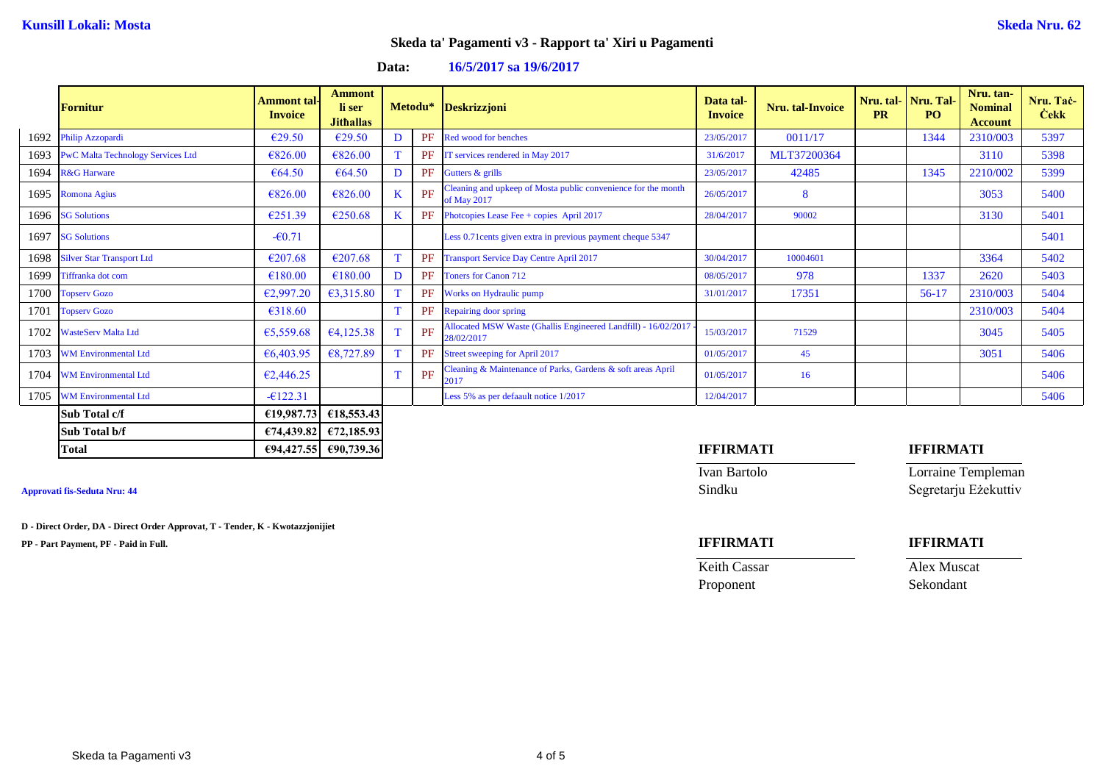**Data: 16/5/2017 sa 19/6/2017**

|      | <b>Fornitur</b>                          | Ammont tal-<br><b>Invoice</b> | <b>Ammont</b><br>li ser<br><b>Jithallas</b> |         |    | Metodu* Deskrizzjoni                                                         | Data tal-<br><b>Invoice</b> | Nru. tal-Invoice | <b>PR</b> | Nru. tal- Nru. Tal-<br>P <sub>O</sub> | Nru. tan-<br><b>Nominal</b><br><b>Account</b> | Nru. Tač-<br><b>Čekk</b> |
|------|------------------------------------------|-------------------------------|---------------------------------------------|---------|----|------------------------------------------------------------------------------|-----------------------------|------------------|-----------|---------------------------------------|-----------------------------------------------|--------------------------|
| 1692 | Philip Azzopardi                         | €29.50                        | €29.50                                      | D       | PF | Red wood for benches                                                         | 23/05/2017                  | 0011/17          |           | 1344                                  | 2310/003                                      | 5397                     |
| 1693 | <b>PwC Malta Technology Services Ltd</b> | €826.00                       | €826.00                                     | T       | PF | IT services rendered in May 2017                                             | 31/6/2017                   | MLT37200364      |           |                                       | 3110                                          | 5398                     |
| 1694 | <b>R&amp;G Harware</b>                   | €64.50                        | €64.50                                      | D       | PF | Gutters & grills                                                             | 23/05/2017                  | 42485            |           | 1345                                  | 2210/002                                      | 5399                     |
| 1695 | <b>Romona Agius</b>                      | €826.00                       | €826.00                                     | $\bf K$ | PF | Cleaning and upkeep of Mosta public convenience for the month<br>of May 2017 | 26/05/2017                  | 8                |           |                                       | 3053                                          | 5400                     |
|      | 1696 SG Solutions                        | €251.39                       | €250.68                                     | K       | PF | Photopies Lease Fee + copies April 2017                                      | 28/04/2017                  | 90002            |           |                                       | 3130                                          | 5401                     |
| 1697 | <b>SG Solutions</b>                      | $-60.71$                      |                                             |         |    | Less 0.71 cents given extra in previous payment cheque 5347                  |                             |                  |           |                                       |                                               | 5401                     |
|      | 1698 Silver Star Transport Ltd           | €207.68                       | €207.68                                     | T       | PF | <b>Transport Service Day Centre April 2017</b>                               | 30/04/2017                  | 10004601         |           |                                       | 3364                                          | 5402                     |
| 1699 | Tiffranka dot com                        | €180.00                       | €180.00                                     | D       | PF | <b>Toners for Canon 712</b>                                                  | 08/05/2017                  | 978              |           | 1337                                  | 2620                                          | 5403                     |
| 1700 | <b>Topserv Gozo</b>                      | €2,997.20                     | €3,315.80                                   | T.      | PF | Works on Hydraulic pump                                                      | 31/01/2017                  | 17351            |           | $56-17$                               | 2310/003                                      | 5404                     |
|      | 1701 Topserv Gozo                        | €318.60                       |                                             | T.      | PF | Repairing door spring                                                        |                             |                  |           |                                       | 2310/003                                      | 5404                     |
| 1702 | <b>WasteServ Malta Ltd</b>               | €5,559.68                     | 64,125.38                                   | T       | PF | Allocated MSW Waste (Ghallis Engineered Landfill) - 16/02/2017<br>28/02/2017 | 15/03/2017                  | 71529            |           |                                       | 3045                                          | 5405                     |
| 1703 | <b>WM Environmental Ltd</b>              | €6,403.95                     | €8,727.89                                   | T       | PF | Street sweeping for April 2017                                               | 01/05/2017                  | 45               |           |                                       | 3051                                          | 5406                     |
| 1704 | <b>WM Environmental Ltd</b>              | €2,446.25                     |                                             | T.      | PF | Cleaning & Maintenance of Parks, Gardens & soft areas April<br>2017          | 01/05/2017                  | 16               |           |                                       |                                               | 5406                     |
| 1705 | <b>WM Environmental Ltd</b>              | $-6122.31$                    |                                             |         |    | Less 5% as per defaault notice 1/2017                                        | 12/04/2017                  |                  |           |                                       |                                               | 5406                     |
|      | Sub Total c/f                            | £19,987,73                    | £18,553.43                                  |         |    |                                                                              |                             |                  |           |                                       |                                               |                          |
|      | Sub Total b/f                            |                               | $E74,439.82$ $E72,185.93$                   |         |    |                                                                              |                             |                  |           |                                       |                                               |                          |

**D - Direct Order, DA - Direct Order Approvat, T - Tender, K - Kwotazzjonijiet**

**PP - Part Payment, PF - Paid in Full. IFFIRMATI IFFIRMATI**

### **Total €94,427.55 €90,739.36 IFFIRMATI IFFIRMATI**

Keith Cassar **Alex Muscat** 

Ivan Bartolo Lorraine Templeman **Approvati fis-Seduta Nru: 44** Sindku Segretarju Eżekuttiv

Proponent Sekondant